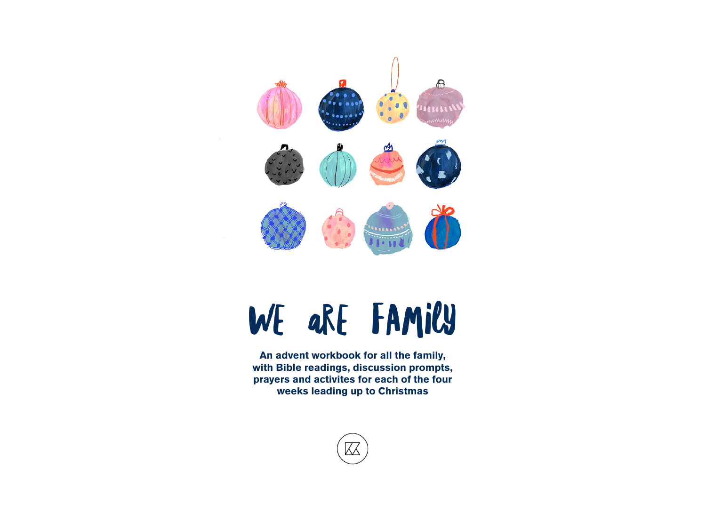

## We are family

An advent workbook for all the family, with Bible readings, discussion prompts, prayers and activites for each of the four weeks leading up to Christmas

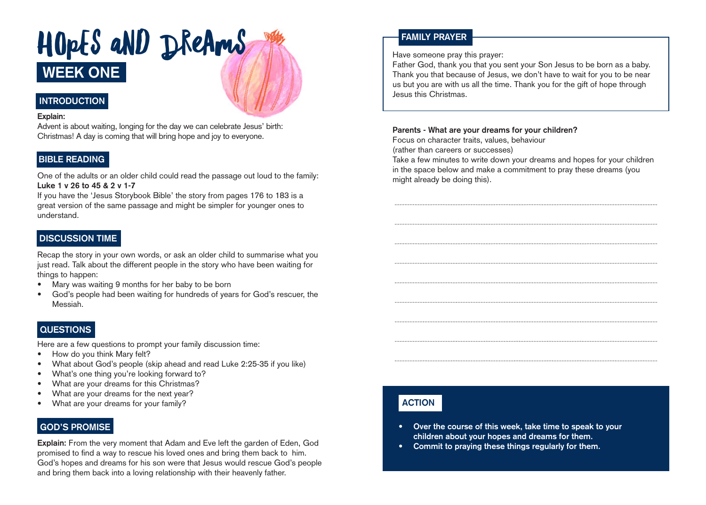### HOpES aND DREAMS **WEEK ONE**

#### **INTRODUCTION**

#### **Explain:**

Advent is about waiting, longing for the day we can celebrate Jesus' birth: Christmas! A day is coming that will bring hope and joy to everyone.

#### **BIBLE READING**

One of the adults or an older child could read the passage out loud to the family: **Luke 1 v 26 to 45 & 2 v 1-7**

If you have the 'Jesus Storybook Bible' the story from pages 176 to 183 is a great version of the same passage and might be simpler for younger ones to understand.

#### **DISCUSSION TIME**

Recap the story in your own words, or ask an older child to summarise what you just read. Talk about the different people in the story who have been waiting for things to happen:

- Mary was waiting 9 months for her baby to be born
- God's people had been waiting for hundreds of years for God's rescuer, the Messiah.

#### **QUESTIONS**

Here are a few questions to prompt your family discussion time:

- How do you think Mary felt?
- What about God's people (skip ahead and read Luke 2:25-35 if you like)
- What's one thing you're looking forward to?
- What are your dreams for this Christmas?
- What are your dreams for the next year?
- What are your dreams for your family?

#### **GOD'S PROMISE**

**Explain:** From the very moment that Adam and Eve left the garden of Eden, God promised to find a way to rescue his loved ones and bring them back to him. God's hopes and dreams for his son were that Jesus would rescue God's people and bring them back into a loving relationship with their heavenly father.

#### **FAMILY PRAYER**

Have someone pray this prayer:

Father God, thank you that you sent your Son Jesus to be born as a baby. Thank you that because of Jesus, we don't have to wait for you to be near us but you are with us all the time. Thank you for the gift of hope through Jesus this Christmas.

#### **Parents - What are your dreams for your children?**

Focus on character traits, values, behaviour (rather than careers or successes) Take a few minutes to write down your dreams and hopes for your children in the space below and make a commitment to pray these dreams (you might already be doing this).

#### **ACTION**

- **• Over the course of this week, take time to speak to your children about your hopes and dreams for them.**
- **• Commit to praying these things regularly for them.**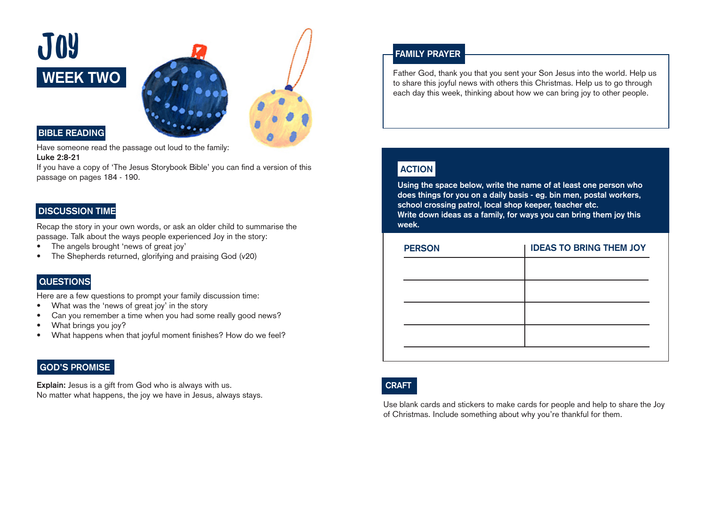



#### **BIBLE READING**

Have someone read the passage out loud to the family: **Luke 2:8-21**

If you have a copy of 'The Jesus Storybook Bible' you can find a version of this passage on pages 184 - 190.

#### **DISCUSSION TIME**

Recap the story in your own words, or ask an older child to summarise the passage. Talk about the ways people experienced Joy in the story:

- The angels brought 'news of great joy'
- The Shepherds returned, glorifying and praising God (v20)

#### **QUESTIONS**

Here are a few questions to prompt your family discussion time:

- What was the 'news of great joy' in the story
- Can you remember a time when you had some really good news?
- What brings you joy?
- What happens when that joyful moment finishes? How do we feel?

#### **GOD'S PROMISE**

**Explain:** Jesus is a gift from God who is always with us. No matter what happens, the joy we have in Jesus, always stays.

#### **FAMILY PRAYER**

Father God, thank you that you sent your Son Jesus into the world. Help us to share this joyful news with others this Christmas. Help us to go through each day this week, thinking about how we can bring joy to other people.

#### **ACTION**

**Using the space below, write the name of at least one person who does things for you on a daily basis - eg. bin men, postal workers, school crossing patrol, local shop keeper, teacher etc. Write down ideas as a family, for ways you can bring them joy this week.**

| <b>IDEAS TO BRING THEM JOY</b> |
|--------------------------------|
|                                |
|                                |
|                                |
|                                |
|                                |

#### **CRAFT**

Use blank cards and stickers to make cards for people and help to share the Joy of Christmas. Include something about why you're thankful for them.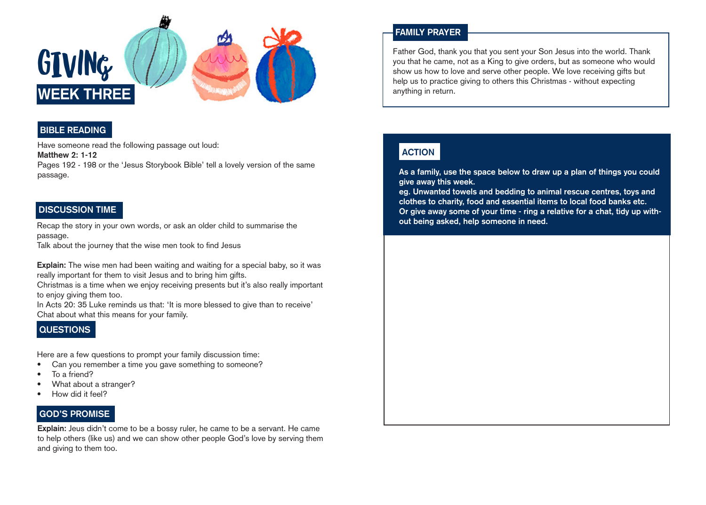

#### **BIBLE READING**

Have someone read the following passage out loud:

**Matthew 2: 1-12**

Pages 192 - 198 or the 'Jesus Storybook Bible' tell a lovely version of the same passage.

#### **DISCUSSION TIME**

Recap the story in your own words, or ask an older child to summarise the passage.

Talk about the journey that the wise men took to find Jesus

**Explain:** The wise men had been waiting and waiting for a special baby, so it was really important for them to visit Jesus and to bring him gifts.

Christmas is a time when we enjoy receiving presents but it's also really important to enjoy giving them too.

In Acts 20: 35 Luke reminds us that: 'It is more blessed to give than to receive' Chat about what this means for your family.

#### **QUESTIONS**

Here are a few questions to prompt your family discussion time:

- Can you remember a time you gave something to someone?
- To a friend?
- What about a stranger?
- How did it feel?

#### **GOD'S PROMISE**

**Explain:** Jeus didn't come to be a bossy ruler, he came to be a servant. He came to help others (like us) and we can show other people God's love by serving them and giving to them too.

#### **FAMILY PRAYER**

Father God, thank you that you sent your Son Jesus into the world. Thank you that he came, not as a King to give orders, but as someone who would show us how to love and serve other people. We love receiving gifts but help us to practice giving to others this Christmas - without expecting anything in return.

#### **ACTION**

**As a family, use the space below to draw up a plan of things you could give away this week.** 

**eg. Unwanted towels and bedding to animal rescue centres, toys and clothes to charity, food and essential items to local food banks etc. Or give away some of your time - ring a relative for a chat, tidy up without being asked, help someone in need.**